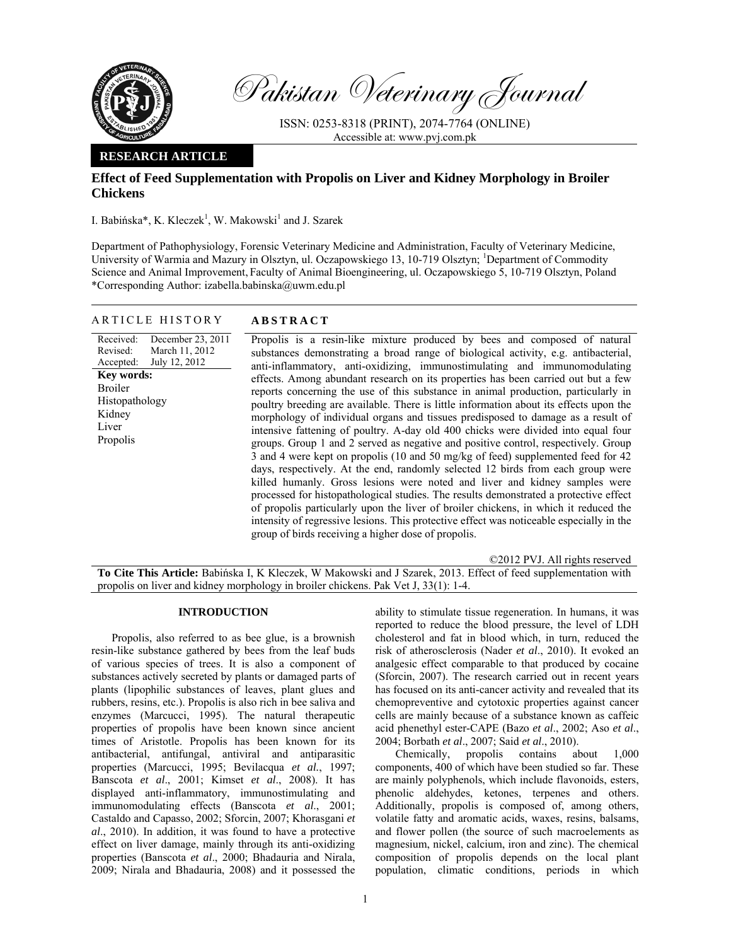

Pakistan Veterinary Journal

ISSN: 0253-8318 (PRINT), 2074-7764 (ONLINE) Accessible at: www.pvj.com.pk

# **RESEARCH ARTICLE**

# **Effect of Feed Supplementation with Propolis on Liver and Kidney Morphology in Broiler Chickens**

I. Babińska\*, K. Kleczek<sup>1</sup>, W. Makowski<sup>1</sup> and J. Szarek

Department of Pathophysiology, Forensic Veterinary Medicine and Administration, Faculty of Veterinary Medicine, University of Warmia and Mazury in Olsztyn, ul. Oczapowskiego 13, 10-719 Olsztyn; <sup>1</sup>Department of Commodity Science and Animal Improvement, Faculty of Animal Bioengineering, ul. Oczapowskiego 5, 10-719 Olsztyn, Poland \*Corresponding Author: izabella.babinska@uwm.edu.pl

| <b>ABSTRACT</b><br>ARTICLE HISTORY |
|------------------------------------|
|------------------------------------|

Received: Revised: Accepted: December 23, 2011 March 11, 2012 July 12, 2012 **Key words:**  Broiler Histopathology Kidney Liver Propolis

Propolis is a resin-like mixture produced by bees and composed of natural substances demonstrating a broad range of biological activity, e.g. antibacterial, anti-inflammatory, anti-oxidizing, immunostimulating and immunomodulating effects. Among abundant research on its properties has been carried out but a few reports concerning the use of this substance in animal production, particularly in poultry breeding are available. There is little information about its effects upon the morphology of individual organs and tissues predisposed to damage as a result of intensive fattening of poultry. A-day old 400 chicks were divided into equal four groups. Group 1 and 2 served as negative and positive control, respectively. Group 3 and 4 were kept on propolis (10 and 50 mg/kg of feed) supplemented feed for 42 days, respectively. At the end, randomly selected 12 birds from each group were killed humanly. Gross lesions were noted and liver and kidney samples were processed for histopathological studies. The results demonstrated a protective effect of propolis particularly upon the liver of broiler chickens, in which it reduced the intensity of regressive lesions. This protective effect was noticeable especially in the group of birds receiving a higher dose of propolis.

©2012 PVJ. All rights reserved **To Cite This Article:** Babińska I, K Kleczek, W Makowski and J Szarek, 2013. Effect of feed supplementation with propolis on liver and kidney morphology in broiler chickens. Pak Vet J, 33(1): 1-4.

# **INTRODUCTION**

Propolis, also referred to as bee glue, is a brownish resin-like substance gathered by bees from the leaf buds of various species of trees. It is also a component of substances actively secreted by plants or damaged parts of plants (lipophilic substances of leaves, plant glues and rubbers, resins, etc.). Propolis is also rich in bee saliva and enzymes (Marcucci, 1995). The natural therapeutic properties of propolis have been known since ancient times of Aristotle. Propolis has been known for its antibacterial, antifungal, antiviral and antiparasitic properties (Marcucci, 1995; Bevilacqua *et al.*, 1997; Banscota *et al*., 2001; Kimset *et al*., 2008). It has displayed anti-inflammatory, immunostimulating and immunomodulating effects (Banscota *et al*., 2001; Castaldo and Capasso, 2002; Sforcin, 2007; Khorasgani *et al*., 2010). In addition, it was found to have a protective effect on liver damage, mainly through its anti-oxidizing properties (Banscota *et al*., 2000; Bhadauria and Nirala, 2009; Nirala and Bhadauria, 2008) and it possessed the

ability to stimulate tissue regeneration. In humans, it was reported to reduce the blood pressure, the level of LDH cholesterol and fat in blood which, in turn, reduced the risk of atherosclerosis (Nader *et al*., 2010). It evoked an analgesic effect comparable to that produced by cocaine (Sforcin, 2007). The research carried out in recent years has focused on its anti-cancer activity and revealed that its chemopreventive and cytotoxic properties against cancer cells are mainly because of a substance known as caffeic acid phenethyl ester-CAPE (Bazo *et al*., 2002; Aso *et al*., 2004; Borbath *et al*., 2007; Said *et al*., 2010).

Chemically, propolis contains about 1,000 components, 400 of which have been studied so far. These are mainly polyphenols, which include flavonoids, esters, phenolic aldehydes, ketones, terpenes and others. Additionally, propolis is composed of, among others, volatile fatty and aromatic acids, waxes, resins, balsams, and flower pollen (the source of such macroelements as magnesium, nickel, calcium, iron and zinc). The chemical composition of propolis depends on the local plant population, climatic conditions, periods in which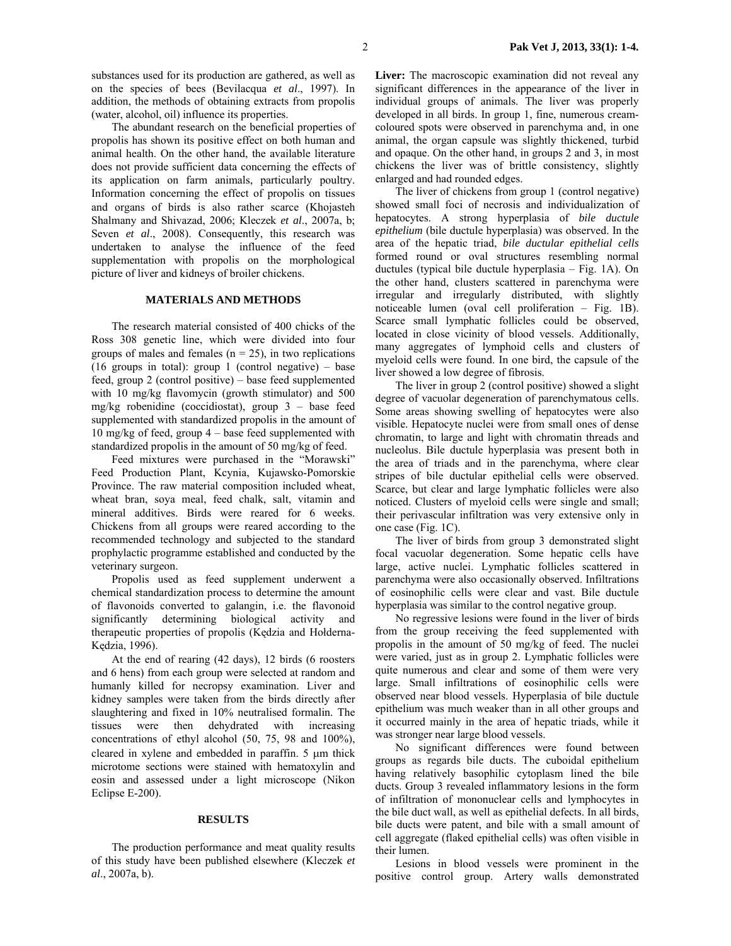The abundant research on the beneficial properties of propolis has shown its positive effect on both human and animal health. On the other hand, the available literature does not provide sufficient data concerning the effects of its application on farm animals, particularly poultry. Information concerning the effect of propolis on tissues and organs of birds is also rather scarce (Khojasteh Shalmany and Shivazad, 2006; Kleczek *et al*., 2007a, b; Seven *et al.*, 2008). Consequently, this research was undertaken to analyse the influence of the feed supplementation with propolis on the morphological picture of liver and kidneys of broiler chickens.

### **MATERIALS AND METHODS**

The research material consisted of 400 chicks of the Ross 308 genetic line, which were divided into four groups of males and females ( $n = 25$ ), in two replications (16 groups in total): group 1 (control negative) – base feed, group 2 (control positive) – base feed supplemented with 10 mg/kg flavomycin (growth stimulator) and 500 mg/kg robenidine (coccidiostat), group 3 – base feed supplemented with standardized propolis in the amount of 10 mg/kg of feed, group 4 – base feed supplemented with standardized propolis in the amount of 50 mg/kg of feed.

Feed mixtures were purchased in the "Morawski" Feed Production Plant, Kcynia, Kujawsko-Pomorskie Province. The raw material composition included wheat, wheat bran, soya meal, feed chalk, salt, vitamin and mineral additives. Birds were reared for 6 weeks. Chickens from all groups were reared according to the recommended technology and subjected to the standard prophylactic programme established and conducted by the veterinary surgeon.

Propolis used as feed supplement underwent a chemical standardization process to determine the amount of flavonoids converted to galangin, i.e. the flavonoid significantly determining biological activity and therapeutic properties of propolis (Kędzia and Hołderna-Kędzia, 1996).

At the end of rearing (42 days), 12 birds (6 roosters and 6 hens) from each group were selected at random and humanly killed for necropsy examination. Liver and kidney samples were taken from the birds directly after slaughtering and fixed in 10% neutralised formalin. The tissues were then dehydrated with increasing concentrations of ethyl alcohol (50, 75, 98 and 100%), cleared in xylene and embedded in paraffin. 5 µm thick microtome sections were stained with hematoxylin and eosin and assessed under a light microscope (Nikon Eclipse E-200).

#### **RESULTS**

The production performance and meat quality results of this study have been published elsewhere (Kleczek *et al*., 2007a, b).

Liver: The macroscopic examination did not reveal any significant differences in the appearance of the liver in individual groups of animals. The liver was properly developed in all birds. In group 1, fine, numerous creamcoloured spots were observed in parenchyma and, in one animal, the organ capsule was slightly thickened, turbid and opaque. On the other hand, in groups 2 and 3, in most chickens the liver was of brittle consistency, slightly enlarged and had rounded edges.

The liver of chickens from group 1 (control negative) showed small foci of necrosis and individualization of hepatocytes. A strong hyperplasia of *bile ductule epithelium* (bile ductule hyperplasia) was observed. In the area of the hepatic triad, *bile ductular epithelial cells*  formed round or oval structures resembling normal ductules (typical bile ductule hyperplasia – Fig. 1A). On the other hand, clusters scattered in parenchyma were irregular and irregularly distributed, with slightly noticeable lumen (oval cell proliferation – Fig. 1B). Scarce small lymphatic follicles could be observed, located in close vicinity of blood vessels. Additionally, many aggregates of lymphoid cells and clusters of myeloid cells were found. In one bird, the capsule of the liver showed a low degree of fibrosis.

The liver in group 2 (control positive) showed a slight degree of vacuolar degeneration of parenchymatous cells. Some areas showing swelling of hepatocytes were also visible. Hepatocyte nuclei were from small ones of dense chromatin, to large and light with chromatin threads and nucleolus. Bile ductule hyperplasia was present both in the area of triads and in the parenchyma, where clear stripes of bile ductular epithelial cells were observed. Scarce, but clear and large lymphatic follicles were also noticed. Clusters of myeloid cells were single and small; their perivascular infiltration was very extensive only in one case (Fig. 1C).

The liver of birds from group 3 demonstrated slight focal vacuolar degeneration. Some hepatic cells have large, active nuclei. Lymphatic follicles scattered in parenchyma were also occasionally observed. Infiltrations of eosinophilic cells were clear and vast. Bile ductule hyperplasia was similar to the control negative group.

No regressive lesions were found in the liver of birds from the group receiving the feed supplemented with propolis in the amount of 50 mg/kg of feed. The nuclei were varied, just as in group 2. Lymphatic follicles were quite numerous and clear and some of them were very large. Small infiltrations of eosinophilic cells were observed near blood vessels. Hyperplasia of bile ductule epithelium was much weaker than in all other groups and it occurred mainly in the area of hepatic triads, while it was stronger near large blood vessels.

No significant differences were found between groups as regards bile ducts. The cuboidal epithelium having relatively basophilic cytoplasm lined the bile ducts. Group 3 revealed inflammatory lesions in the form of infiltration of mononuclear cells and lymphocytes in the bile duct wall, as well as epithelial defects. In all birds, bile ducts were patent, and bile with a small amount of cell aggregate (flaked epithelial cells) was often visible in their lumen.

Lesions in blood vessels were prominent in the positive control group. Artery walls demonstrated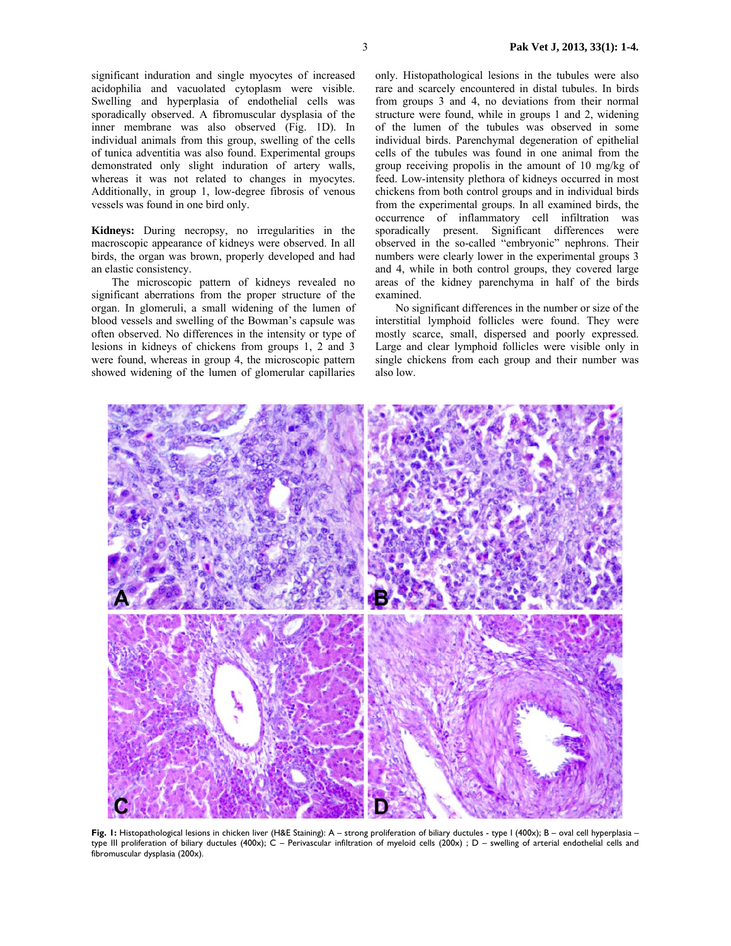significant induration and single myocytes of increased acidophilia and vacuolated cytoplasm were visible. Swelling and hyperplasia of endothelial cells was sporadically observed. A fibromuscular dysplasia of the inner membrane was also observed (Fig. 1D). In

individual animals from this group, swelling of the cells of tunica adventitia was also found. Experimental groups demonstrated only slight induration of artery walls, whereas it was not related to changes in myocytes. Additionally, in group 1, low-degree fibrosis of venous vessels was found in one bird only.

**Kidneys:** During necropsy, no irregularities in the macroscopic appearance of kidneys were observed. In all birds, the organ was brown, properly developed and had an elastic consistency.

The microscopic pattern of kidneys revealed no significant aberrations from the proper structure of the organ. In glomeruli, a small widening of the lumen of blood vessels and swelling of the Bowman's capsule was often observed. No differences in the intensity or type of lesions in kidneys of chickens from groups 1, 2 and 3 were found, whereas in group 4, the microscopic pattern showed widening of the lumen of glomerular capillaries

only. Histopathological lesions in the tubules were also rare and scarcely encountered in distal tubules. In birds from groups 3 and 4, no deviations from their normal structure were found, while in groups 1 and 2, widening of the lumen of the tubules was observed in some individual birds. Parenchymal degeneration of epithelial cells of the tubules was found in one animal from the group receiving propolis in the amount of 10 mg/kg of feed. Low-intensity plethora of kidneys occurred in most chickens from both control groups and in individual birds from the experimental groups. In all examined birds, the occurrence of inflammatory cell infiltration was sporadically present. Significant differences were observed in the so-called "embryonic" nephrons. Their numbers were clearly lower in the experimental groups 3 and 4, while in both control groups, they covered large areas of the kidney parenchyma in half of the birds examined.

No significant differences in the number or size of the interstitial lymphoid follicles were found. They were mostly scarce, small, dispersed and poorly expressed. Large and clear lymphoid follicles were visible only in single chickens from each group and their number was also low.



**Fig. 1:** Histopathological lesions in chicken liver (H&E Staining): A – strong proliferation of biliary ductules - type I (400x); B – oval cell hyperplasia – type III proliferation of biliary ductules (400x); C – Perivascular infiltration of myeloid cells (200x) ; D – swelling of arterial endothelial cells and fibromuscular dysplasia (200x).